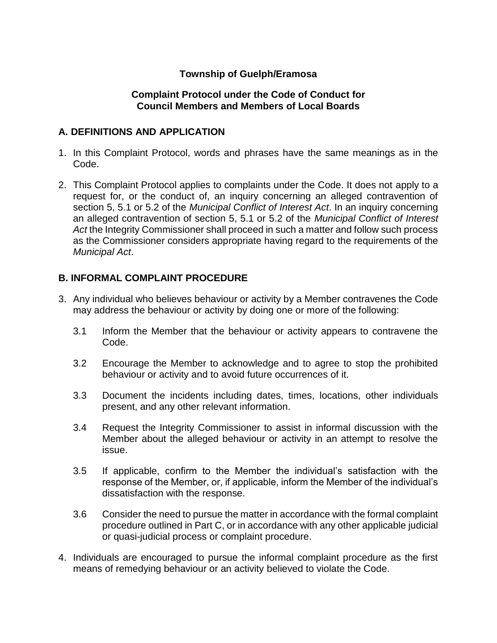## **Township of Guelph/Eramosa**

### **Complaint Protocol under the Code of Conduct for Council Members and Members of Local Boards**

### **A. DEFINITIONS AND APPLICATION**

- 1. In this Complaint Protocol, words and phrases have the same meanings as in the Code.
- 2. This Complaint Protocol applies to complaints under the Code. It does not apply to a request for, or the conduct of, an inquiry concerning an alleged contravention of section 5, 5.1 or 5.2 of the *Municipal Conflict of Interest Act*. In an inquiry concerning an alleged contravention of section 5, 5.1 or 5.2 of the *Municipal Conflict of Interest Act* the Integrity Commissioner shall proceed in such a matter and follow such process as the Commissioner considers appropriate having regard to the requirements of the *Municipal Act*.

## **B. INFORMAL COMPLAINT PROCEDURE**

- 3. Any individual who believes behaviour or activity by a Member contravenes the Code may address the behaviour or activity by doing one or more of the following:
	- 3.1 Inform the Member that the behaviour or activity appears to contravene the Code.
	- 3.2 Encourage the Member to acknowledge and to agree to stop the prohibited behaviour or activity and to avoid future occurrences of it.
	- 3.3 Document the incidents including dates, times, locations, other individuals present, and any other relevant information.
	- 3.4 Request the Integrity Commissioner to assist in informal discussion with the Member about the alleged behaviour or activity in an attempt to resolve the issue.
	- 3.5 If applicable, confirm to the Member the individual's satisfaction with the response of the Member, or, if applicable, inform the Member of the individual's dissatisfaction with the response.
	- 3.6 Consider the need to pursue the matter in accordance with the formal complaint procedure outlined in Part C, or in accordance with any other applicable judicial or quasi-judicial process or complaint procedure.
- 4. Individuals are encouraged to pursue the informal complaint procedure as the first means of remedying behaviour or an activity believed to violate the Code.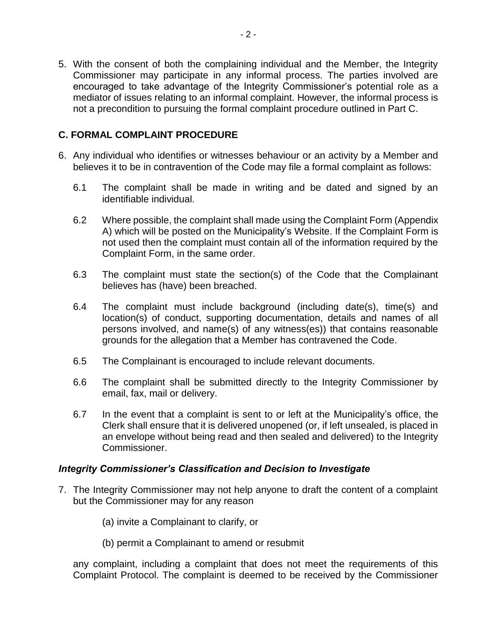5. With the consent of both the complaining individual and the Member, the Integrity Commissioner may participate in any informal process. The parties involved are encouraged to take advantage of the Integrity Commissioner's potential role as a mediator of issues relating to an informal complaint. However, the informal process is not a precondition to pursuing the formal complaint procedure outlined in Part C.

## **C. FORMAL COMPLAINT PROCEDURE**

- 6. Any individual who identifies or witnesses behaviour or an activity by a Member and believes it to be in contravention of the Code may file a formal complaint as follows:
	- 6.1 The complaint shall be made in writing and be dated and signed by an identifiable individual.
	- 6.2 Where possible, the complaint shall made using the Complaint Form (Appendix A) which will be posted on the Municipality's Website. If the Complaint Form is not used then the complaint must contain all of the information required by the Complaint Form, in the same order.
	- 6.3 The complaint must state the section(s) of the Code that the Complainant believes has (have) been breached.
	- 6.4 The complaint must include background (including date(s), time(s) and location(s) of conduct, supporting documentation, details and names of all persons involved, and name(s) of any witness(es)) that contains reasonable grounds for the allegation that a Member has contravened the Code.
	- 6.5 The Complainant is encouraged to include relevant documents.
	- 6.6 The complaint shall be submitted directly to the Integrity Commissioner by email, fax, mail or delivery.
	- 6.7 In the event that a complaint is sent to or left at the Municipality's office, the Clerk shall ensure that it is delivered unopened (or, if left unsealed, is placed in an envelope without being read and then sealed and delivered) to the Integrity Commissioner.

### *Integrity Commissioner's Classification and Decision to Investigate*

- 7. The Integrity Commissioner may not help anyone to draft the content of a complaint but the Commissioner may for any reason
	- (a) invite a Complainant to clarify, or
	- (b) permit a Complainant to amend or resubmit

any complaint, including a complaint that does not meet the requirements of this Complaint Protocol. The complaint is deemed to be received by the Commissioner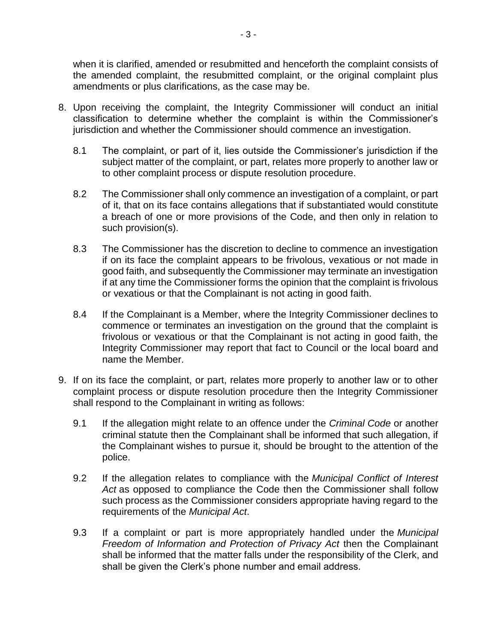when it is clarified, amended or resubmitted and henceforth the complaint consists of the amended complaint, the resubmitted complaint, or the original complaint plus amendments or plus clarifications, as the case may be.

- 8. Upon receiving the complaint, the Integrity Commissioner will conduct an initial classification to determine whether the complaint is within the Commissioner's jurisdiction and whether the Commissioner should commence an investigation.
	- 8.1 The complaint, or part of it, lies outside the Commissioner's jurisdiction if the subject matter of the complaint, or part, relates more properly to another law or to other complaint process or dispute resolution procedure.
	- 8.2 The Commissioner shall only commence an investigation of a complaint, or part of it, that on its face contains allegations that if substantiated would constitute a breach of one or more provisions of the Code, and then only in relation to such provision(s).
	- 8.3 The Commissioner has the discretion to decline to commence an investigation if on its face the complaint appears to be frivolous, vexatious or not made in good faith, and subsequently the Commissioner may terminate an investigation if at any time the Commissioner forms the opinion that the complaint is frivolous or vexatious or that the Complainant is not acting in good faith.
	- 8.4 If the Complainant is a Member, where the Integrity Commissioner declines to commence or terminates an investigation on the ground that the complaint is frivolous or vexatious or that the Complainant is not acting in good faith, the Integrity Commissioner may report that fact to Council or the local board and name the Member.
- 9. If on its face the complaint, or part, relates more properly to another law or to other complaint process or dispute resolution procedure then the Integrity Commissioner shall respond to the Complainant in writing as follows:
	- 9.1 If the allegation might relate to an offence under the *Criminal Code* or another criminal statute then the Complainant shall be informed that such allegation, if the Complainant wishes to pursue it, should be brought to the attention of the police.
	- 9.2 If the allegation relates to compliance with the *Municipal Conflict of Interest Act* as opposed to compliance the Code then the Commissioner shall follow such process as the Commissioner considers appropriate having regard to the requirements of the *Municipal Act*.
	- 9.3 If a complaint or part is more appropriately handled under the *Municipal Freedom of Information and Protection of Privacy Act* then the Complainant shall be informed that the matter falls under the responsibility of the Clerk, and shall be given the Clerk's phone number and email address.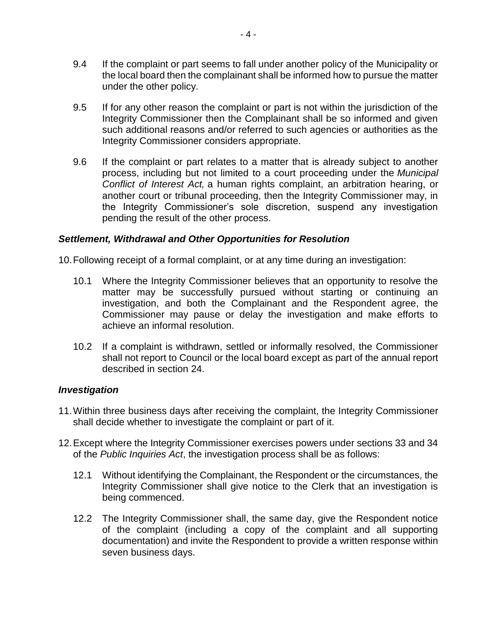- 9.4 If the complaint or part seems to fall under another policy of the Municipality or the local board then the complainant shall be informed how to pursue the matter under the other policy.
- 9.5 If for any other reason the complaint or part is not within the jurisdiction of the Integrity Commissioner then the Complainant shall be so informed and given such additional reasons and/or referred to such agencies or authorities as the Integrity Commissioner considers appropriate.
- 9.6 If the complaint or part relates to a matter that is already subject to another process, including but not limited to a court proceeding under the *Municipal Conflict of Interest Act,* a human rights complaint, an arbitration hearing, or another court or tribunal proceeding, then the Integrity Commissioner may, in the Integrity Commissioner's sole discretion, suspend any investigation pending the result of the other process.

#### *Settlement, Withdrawal and Other Opportunities for Resolution*

10.Following receipt of a formal complaint, or at any time during an investigation:

- 10.1 Where the Integrity Commissioner believes that an opportunity to resolve the matter may be successfully pursued without starting or continuing an investigation, and both the Complainant and the Respondent agree, the Commissioner may pause or delay the investigation and make efforts to achieve an informal resolution.
- 10.2 If a complaint is withdrawn, settled or informally resolved, the Commissioner shall not report to Council or the local board except as part of the annual report described in section [24.](#page-7-0)

#### *Investigation*

- 11.Within three business days after receiving the complaint, the Integrity Commissioner shall decide whether to investigate the complaint or part of it.
- 12.Except where the Integrity Commissioner exercises powers under sections 33 and 34 of the *Public Inquiries Act*, the investigation process shall be as follows:
	- 12.1 Without identifying the Complainant, the Respondent or the circumstances, the Integrity Commissioner shall give notice to the Clerk that an investigation is being commenced.
	- 12.2 The Integrity Commissioner shall, the same day, give the Respondent notice of the complaint (including a copy of the complaint and all supporting documentation) and invite the Respondent to provide a written response within seven business days.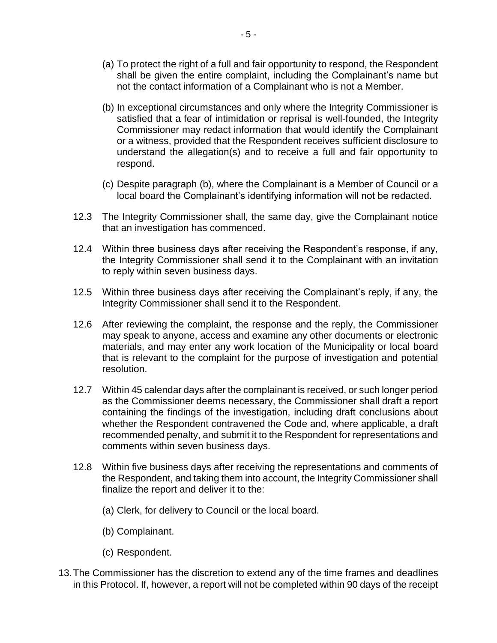- (a) To protect the right of a full and fair opportunity to respond, the Respondent shall be given the entire complaint, including the Complainant's name but not the contact information of a Complainant who is not a Member.
- <span id="page-4-0"></span>(b) In exceptional circumstances and only where the Integrity Commissioner is satisfied that a fear of intimidation or reprisal is well-founded, the Integrity Commissioner may redact information that would identify the Complainant or a witness, provided that the Respondent receives sufficient disclosure to understand the allegation(s) and to receive a full and fair opportunity to respond.
- (c) Despite paragraph [\(b\),](#page-4-0) where the Complainant is a Member of Council or a local board the Complainant's identifying information will not be redacted.
- 12.3 The Integrity Commissioner shall, the same day, give the Complainant notice that an investigation has commenced.
- 12.4 Within three business days after receiving the Respondent's response, if any, the Integrity Commissioner shall send it to the Complainant with an invitation to reply within seven business days.
- 12.5 Within three business days after receiving the Complainant's reply, if any, the Integrity Commissioner shall send it to the Respondent.
- 12.6 After reviewing the complaint, the response and the reply, the Commissioner may speak to anyone, access and examine any other documents or electronic materials, and may enter any work location of the Municipality or local board that is relevant to the complaint for the purpose of investigation and potential resolution.
- 12.7 Within 45 calendar days after the complainant is received, or such longer period as the Commissioner deems necessary, the Commissioner shall draft a report containing the findings of the investigation, including draft conclusions about whether the Respondent contravened the Code and, where applicable, a draft recommended penalty, and submit it to the Respondent for representations and comments within seven business days.
- 12.8 Within five business days after receiving the representations and comments of the Respondent, and taking them into account, the Integrity Commissioner shall finalize the report and deliver it to the:
	- (a) Clerk, for delivery to Council or the local board.
	- (b) Complainant.
	- (c) Respondent.
- 13.The Commissioner has the discretion to extend any of the time frames and deadlines in this Protocol. If, however, a report will not be completed within 90 days of the receipt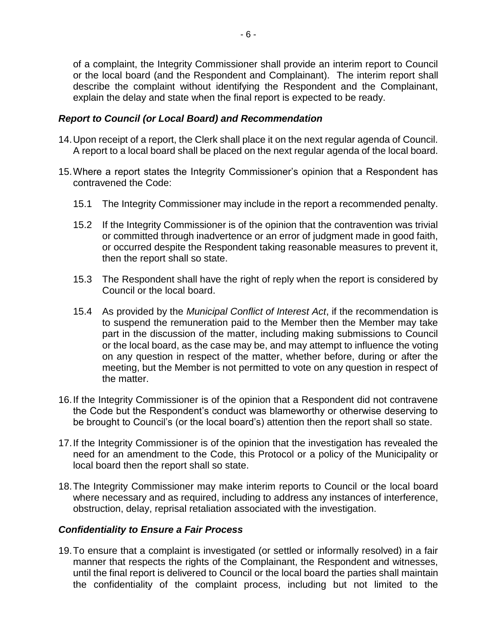of a complaint, the Integrity Commissioner shall provide an interim report to Council or the local board (and the Respondent and Complainant). The interim report shall describe the complaint without identifying the Respondent and the Complainant, explain the delay and state when the final report is expected to be ready.

### *Report to Council (or Local Board) and Recommendation*

- 14.Upon receipt of a report, the Clerk shall place it on the next regular agenda of Council. A report to a local board shall be placed on the next regular agenda of the local board.
- 15.Where a report states the Integrity Commissioner's opinion that a Respondent has contravened the Code:
	- 15.1 The Integrity Commissioner may include in the report a recommended penalty.
	- 15.2 If the Integrity Commissioner is of the opinion that the contravention was trivial or committed through inadvertence or an error of judgment made in good faith, or occurred despite the Respondent taking reasonable measures to prevent it, then the report shall so state.
	- 15.3 The Respondent shall have the right of reply when the report is considered by Council or the local board.
	- 15.4 As provided by the *Municipal Conflict of Interest Act*, if the recommendation is to suspend the remuneration paid to the Member then the Member may take part in the discussion of the matter, including making submissions to Council or the local board, as the case may be, and may attempt to influence the voting on any question in respect of the matter, whether before, during or after the meeting, but the Member is not permitted to vote on any question in respect of the matter.
- 16.If the Integrity Commissioner is of the opinion that a Respondent did not contravene the Code but the Respondent's conduct was blameworthy or otherwise deserving to be brought to Council's (or the local board's) attention then the report shall so state.
- 17.If the Integrity Commissioner is of the opinion that the investigation has revealed the need for an amendment to the Code, this Protocol or a policy of the Municipality or local board then the report shall so state.
- 18.The Integrity Commissioner may make interim reports to Council or the local board where necessary and as required, including to address any instances of interference, obstruction, delay, reprisal retaliation associated with the investigation.

### *Confidentiality to Ensure a Fair Process*

19.To ensure that a complaint is investigated (or settled or informally resolved) in a fair manner that respects the rights of the Complainant, the Respondent and witnesses, until the final report is delivered to Council or the local board the parties shall maintain the confidentiality of the complaint process, including but not limited to the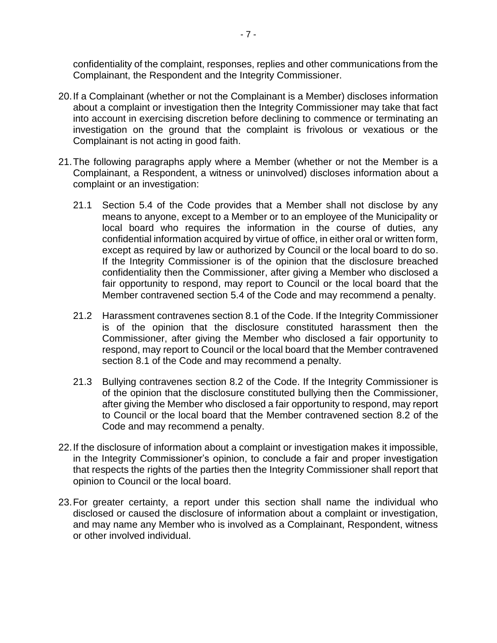confidentiality of the complaint, responses, replies and other communications from the Complainant, the Respondent and the Integrity Commissioner.

- 20.If a Complainant (whether or not the Complainant is a Member) discloses information about a complaint or investigation then the Integrity Commissioner may take that fact into account in exercising discretion before declining to commence or terminating an investigation on the ground that the complaint is frivolous or vexatious or the Complainant is not acting in good faith.
- 21.The following paragraphs apply where a Member (whether or not the Member is a Complainant, a Respondent, a witness or uninvolved) discloses information about a complaint or an investigation:
	- 21.1 Section 5.4 of the Code provides that a Member shall not disclose by any means to anyone, except to a Member or to an employee of the Municipality or local board who requires the information in the course of duties, any confidential information acquired by virtue of office, in either oral or written form, except as required by law or authorized by Council or the local board to do so. If the Integrity Commissioner is of the opinion that the disclosure breached confidentiality then the Commissioner, after giving a Member who disclosed a fair opportunity to respond, may report to Council or the local board that the Member contravened section 5.4 of the Code and may recommend a penalty.
	- 21.2 Harassment contravenes section 8.1 of the Code. If the Integrity Commissioner is of the opinion that the disclosure constituted harassment then the Commissioner, after giving the Member who disclosed a fair opportunity to respond, may report to Council or the local board that the Member contravened section 8.1 of the Code and may recommend a penalty.
	- 21.3 Bullying contravenes section 8.2 of the Code. If the Integrity Commissioner is of the opinion that the disclosure constituted bullying then the Commissioner, after giving the Member who disclosed a fair opportunity to respond, may report to Council or the local board that the Member contravened section 8.2 of the Code and may recommend a penalty.
- 22.If the disclosure of information about a complaint or investigation makes it impossible, in the Integrity Commissioner's opinion, to conclude a fair and proper investigation that respects the rights of the parties then the Integrity Commissioner shall report that opinion to Council or the local board.
- 23.For greater certainty, a report under this section shall name the individual who disclosed or caused the disclosure of information about a complaint or investigation, and may name any Member who is involved as a Complainant, Respondent, witness or other involved individual.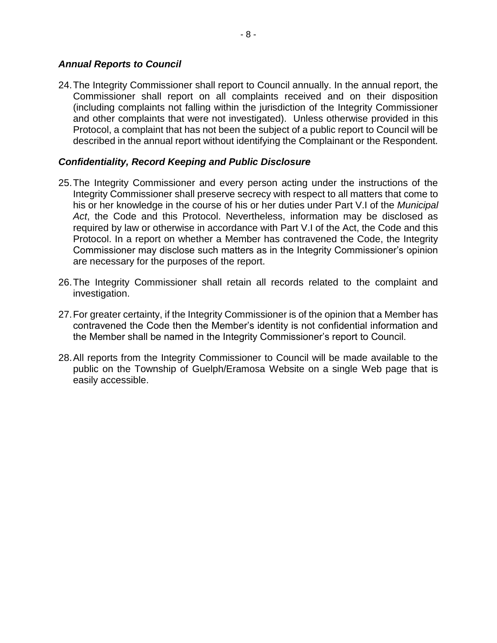#### *Annual Reports to Council*

<span id="page-7-0"></span>24.The Integrity Commissioner shall report to Council annually. In the annual report, the Commissioner shall report on all complaints received and on their disposition (including complaints not falling within the jurisdiction of the Integrity Commissioner and other complaints that were not investigated). Unless otherwise provided in this Protocol, a complaint that has not been the subject of a public report to Council will be described in the annual report without identifying the Complainant or the Respondent.

### *Confidentiality, Record Keeping and Public Disclosure*

- 25.The Integrity Commissioner and every person acting under the instructions of the Integrity Commissioner shall preserve secrecy with respect to all matters that come to his or her knowledge in the course of his or her duties under Part V.I of the *Municipal Act*, the Code and this Protocol. Nevertheless, information may be disclosed as required by law or otherwise in accordance with Part V.I of the Act, the Code and this Protocol. In a report on whether a Member has contravened the Code, the Integrity Commissioner may disclose such matters as in the Integrity Commissioner's opinion are necessary for the purposes of the report.
- 26.The Integrity Commissioner shall retain all records related to the complaint and investigation.
- 27.For greater certainty, if the Integrity Commissioner is of the opinion that a Member has contravened the Code then the Member's identity is not confidential information and the Member shall be named in the Integrity Commissioner's report to Council.
- 28.All reports from the Integrity Commissioner to Council will be made available to the public on the Township of Guelph/Eramosa Website on a single Web page that is easily accessible.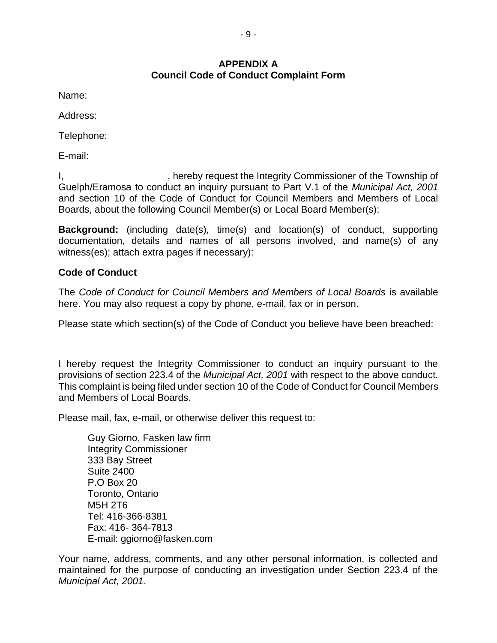## **APPENDIX A Council Code of Conduct Complaint Form**

Name:

Address:

Telephone:

E-mail:

I, state of the Integrity Commissioner of the Township of integrity Commissioner of the Township of Guelph/Eramosa to conduct an inquiry pursuant to Part V.1 of the *Municipal Act, 2001* and section 10 of the Code of Conduct for Council Members and Members of Local Boards, about the following Council Member(s) or Local Board Member(s):

**Background:** (including date(s), time(s) and location(s) of conduct, supporting documentation, details and names of all persons involved, and name(s) of any witness(es); attach extra pages if necessary):

# **Code of Conduct**

The *Code of Conduct for Council Members and Members of Local Boards* is available here. You may also request a copy by phone, e-mail, fax or in person.

Please state which section(s) of the Code of Conduct you believe have been breached:

I hereby request the Integrity Commissioner to conduct an inquiry pursuant to the provisions of section 223.4 of the *Municipal Act, 2001* with respect to the above conduct. This complaint is being filed under section 10 of the Code of Conduct for Council Members and Members of Local Boards.

Please mail, fax, e-mail, or otherwise deliver this request to:

Guy Giorno, Fasken law firm Integrity Commissioner 333 Bay Street Suite 2400 P.O Box 20 Toronto, Ontario M5H 2T6 Tel: 416-366-8381 Fax: 416- 364-7813 E-mail: ggiorno@fasken.com

Your name, address, comments, and any other personal information, is collected and maintained for the purpose of conducting an investigation under Section 223.4 of the *Municipal Act, 2001*.